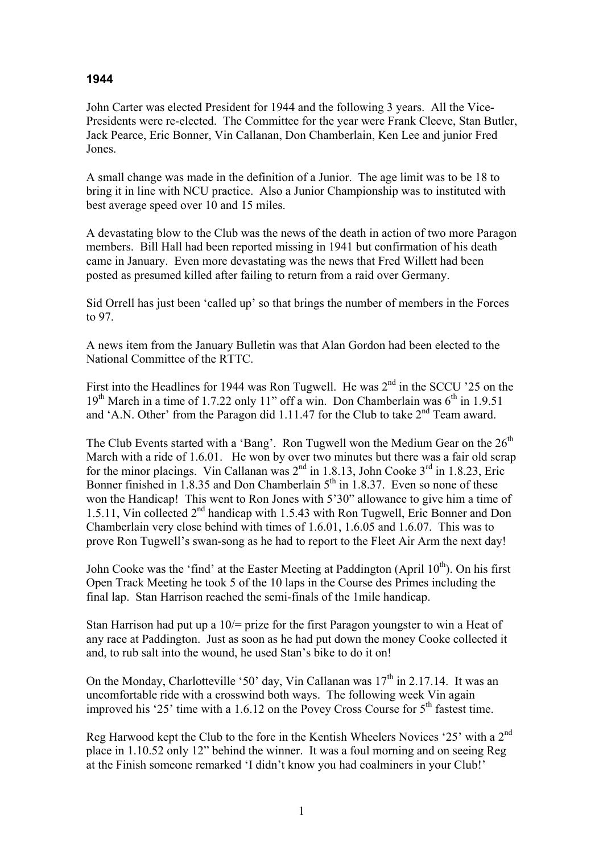## **1944**

John Carter was elected President for 1944 and the following 3 years. All the Vice-Presidents were re-elected. The Committee for the year were Frank Cleeve, Stan Butler, Jack Pearce, Eric Bonner, Vin Callanan, Don Chamberlain, Ken Lee and junior Fred Jones.

A small change was made in the definition of a Junior. The age limit was to be 18 to bring it in line with NCU practice. Also a Junior Championship was to instituted with best average speed over 10 and 15 miles.

A devastating blow to the Club was the news of the death in action of two more Paragon members. Bill Hall had been reported missing in 1941 but confirmation of his death came in January. Even more devastating was the news that Fred Willett had been posted as presumed killed after failing to return from a raid over Germany.

Sid Orrell has just been 'called up' so that brings the number of members in the Forces to 97.

A news item from the January Bulletin was that Alan Gordon had been elected to the National Committee of the RTTC.

First into the Headlines for 1944 was Ron Tugwell. He was  $2<sup>nd</sup>$  in the SCCU '25 on the  $19<sup>th</sup>$  March in a time of 1.7.22 only 11" off a win. Don Chamberlain was  $6<sup>th</sup>$  in 1.9.51 and 'A.N. Other' from the Paragon did 1.11.47 for the Club to take  $2<sup>nd</sup>$  Team award.

The Club Events started with a 'Bang'. Ron Tugwell won the Medium Gear on the  $26<sup>th</sup>$ March with a ride of 1.6.01. He won by over two minutes but there was a fair old scrap for the minor placings. Vin Callanan was 2<sup>nd</sup> in 1.8.13, John Cooke 3<sup>rd</sup> in 1.8.23, Eric Bonner finished in 1.8.35 and Don Chamberlain  $5<sup>th</sup>$  in 1.8.37. Even so none of these won the Handicap! This went to Ron Jones with 5'30" allowance to give him a time of 1.5.11, Vin collected 2nd handicap with 1.5.43 with Ron Tugwell, Eric Bonner and Don Chamberlain very close behind with times of 1.6.01, 1.6.05 and 1.6.07. This was to prove Ron Tugwell's swan-song as he had to report to the Fleet Air Arm the next day!

John Cooke was the 'find' at the Easter Meeting at Paddington (April  $10^{th}$ ). On his first Open Track Meeting he took 5 of the 10 laps in the Course des Primes including the final lap. Stan Harrison reached the semi-finals of the 1mile handicap.

Stan Harrison had put up a 10/= prize for the first Paragon youngster to win a Heat of any race at Paddington. Just as soon as he had put down the money Cooke collected it and, to rub salt into the wound, he used Stan's bike to do it on!

On the Monday, Charlotteville '50' day, Vin Callanan was  $17<sup>th</sup>$  in 2.17.14. It was an uncomfortable ride with a crosswind both ways. The following week Vin again improved his '25' time with a 1.6.12 on the Povey Cross Course for  $5<sup>th</sup>$  fastest time.

Reg Harwood kept the Club to the fore in the Kentish Wheelers Novices '25' with a 2nd place in 1.10.52 only 12" behind the winner. It was a foul morning and on seeing Reg at the Finish someone remarked 'I didn't know you had coalminers in your Club!'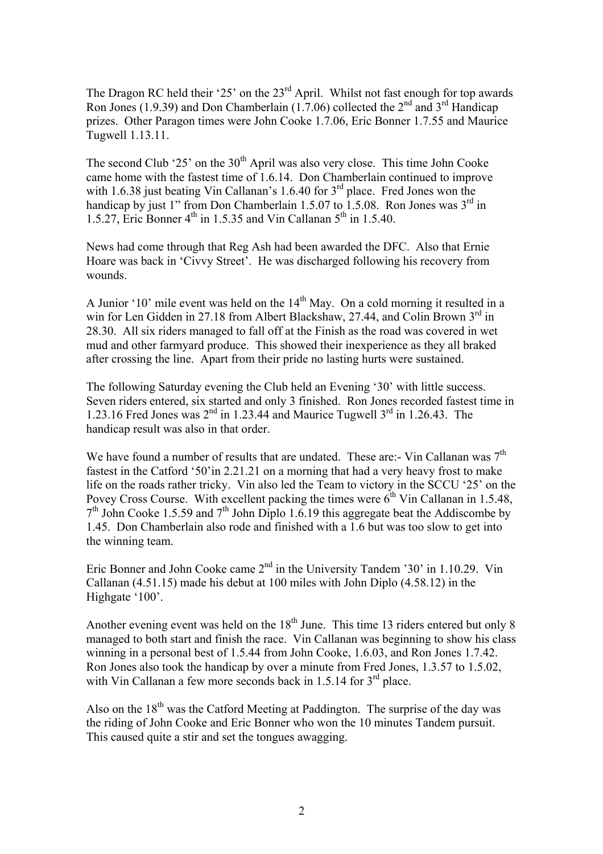The Dragon RC held their '25' on the 23<sup>rd</sup> April. Whilst not fast enough for top awards Ron Jones (1.9.39) and Don Chamberlain (1.7.06) collected the  $2<sup>nd</sup>$  and  $3<sup>rd</sup>$  Handicap prizes. Other Paragon times were John Cooke 1.7.06, Eric Bonner 1.7.55 and Maurice Tugwell 1.13.11.

The second Club '25' on the  $30<sup>th</sup>$  April was also very close. This time John Cooke came home with the fastest time of 1.6.14. Don Chamberlain continued to improve with 1.6.38 just beating Vin Callanan's 1.6.40 for 3<sup>rd</sup> place. Fred Jones won the handicap by just 1" from Don Chamberlain 1.5.07 to 1.5.08. Ron Jones was  $3<sup>rd</sup>$  in 1.5.27, Eric Bonner  $4^{th}$  in 1.5.35 and Vin Callanan  $5^{th}$  in 1.5.40.

News had come through that Reg Ash had been awarded the DFC. Also that Ernie Hoare was back in 'Civvy Street'. He was discharged following his recovery from wounds.

A Junior '10' mile event was held on the  $14<sup>th</sup>$  May. On a cold morning it resulted in a win for Len Gidden in 27.18 from Albert Blackshaw, 27.44, and Colin Brown 3<sup>rd</sup> in 28.30. All six riders managed to fall off at the Finish as the road was covered in wet mud and other farmyard produce. This showed their inexperience as they all braked after crossing the line. Apart from their pride no lasting hurts were sustained.

The following Saturday evening the Club held an Evening '30' with little success. Seven riders entered, six started and only 3 finished. Ron Jones recorded fastest time in 1.23.16 Fred Jones was  $2^{nd}$  in 1.23.44 and Maurice Tugwell  $3^{rd}$  in 1.26.43. The handicap result was also in that order.

We have found a number of results that are undated. These are:- Vin Callanan was  $7<sup>th</sup>$ fastest in the Catford '50'in 2.21.21 on a morning that had a very heavy frost to make life on the roads rather tricky. Vin also led the Team to victory in the SCCU '25' on the Povey Cross Course. With excellent packing the times were  $6<sup>th</sup>$  Vin Callanan in 1.5.48,  $7<sup>th</sup>$  John Cooke 1.5.59 and  $7<sup>th</sup>$  John Diplo 1.6.19 this aggregate beat the Addiscombe by 1.45. Don Chamberlain also rode and finished with a 1.6 but was too slow to get into the winning team.

Eric Bonner and John Cooke came 2<sup>nd</sup> in the University Tandem '30' in 1.10.29. Vin Callanan (4.51.15) made his debut at 100 miles with John Diplo (4.58.12) in the Highgate '100'.

Another evening event was held on the  $18<sup>th</sup>$  June. This time 13 riders entered but only 8 managed to both start and finish the race. Vin Callanan was beginning to show his class winning in a personal best of 1.5.44 from John Cooke, 1.6.03, and Ron Jones 1.7.42. Ron Jones also took the handicap by over a minute from Fred Jones, 1.3.57 to 1.5.02, with Vin Callanan a few more seconds back in 1.5.14 for 3<sup>rd</sup> place.

Also on the  $18<sup>th</sup>$  was the Catford Meeting at Paddington. The surprise of the day was the riding of John Cooke and Eric Bonner who won the 10 minutes Tandem pursuit. This caused quite a stir and set the tongues awagging.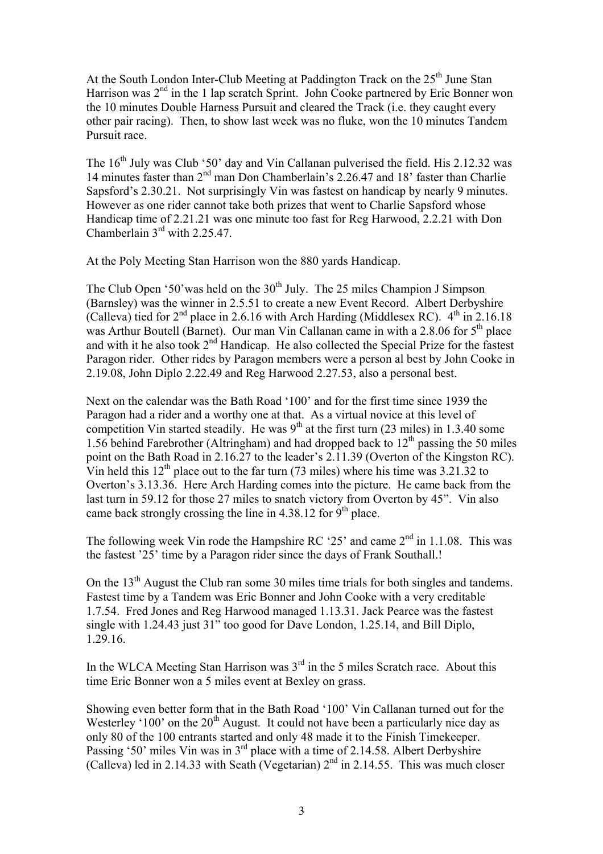At the South London Inter-Club Meeting at Paddington Track on the  $25<sup>th</sup>$  June Stan Harrison was 2<sup>nd</sup> in the 1 lap scratch Sprint. John Cooke partnered by Eric Bonner won the 10 minutes Double Harness Pursuit and cleared the Track (i.e. they caught every other pair racing). Then, to show last week was no fluke, won the 10 minutes Tandem Pursuit race.

The 16<sup>th</sup> July was Club '50' day and Vin Callanan pulverised the field. His 2.12.32 was 14 minutes faster than 2nd man Don Chamberlain's 2.26.47 and 18' faster than Charlie Sapsford's 2.30.21. Not surprisingly Vin was fastest on handicap by nearly 9 minutes. However as one rider cannot take both prizes that went to Charlie Sapsford whose Handicap time of 2.21.21 was one minute too fast for Reg Harwood, 2.2.21 with Don Chamberlain 3rd with 2.25.47.

At the Poly Meeting Stan Harrison won the 880 yards Handicap.

The Club Open '50' was held on the  $30<sup>th</sup>$  July. The 25 miles Champion J Simpson (Barnsley) was the winner in 2.5.51 to create a new Event Record. Albert Derbyshire (Calleva) tied for  $2<sup>nd</sup>$  place in 2.6.16 with Arch Harding (Middlesex RC).  $4<sup>th</sup>$  in 2.16.18 was Arthur Boutell (Barnet). Our man Vin Callanan came in with a  $2.8.06$  for  $5<sup>th</sup>$  place and with it he also took  $2<sup>nd</sup>$  Handicap. He also collected the Special Prize for the fastest Paragon rider. Other rides by Paragon members were a person al best by John Cooke in 2.19.08, John Diplo 2.22.49 and Reg Harwood 2.27.53, also a personal best.

Next on the calendar was the Bath Road '100' and for the first time since 1939 the Paragon had a rider and a worthy one at that. As a virtual novice at this level of competition Vin started steadily. He was  $9<sup>th</sup>$  at the first turn (23 miles) in 1.3.40 some 1.56 behind Farebrother (Altringham) and had dropped back to  $12<sup>th</sup>$  passing the 50 miles point on the Bath Road in 2.16.27 to the leader's 2.11.39 (Overton of the Kingston RC). Vin held this  $12^{th}$  place out to the far turn (73 miles) where his time was 3.21.32 to Overton's 3.13.36. Here Arch Harding comes into the picture. He came back from the last turn in 59.12 for those 27 miles to snatch victory from Overton by 45". Vin also came back strongly crossing the line in  $4.38.12$  for  $9<sup>th</sup>$  place.

The following week Vin rode the Hampshire RC '25' and came  $2<sup>nd</sup>$  in 1.1.08. This was the fastest '25' time by a Paragon rider since the days of Frank Southall.!

On the  $13<sup>th</sup>$  August the Club ran some 30 miles time trials for both singles and tandems. Fastest time by a Tandem was Eric Bonner and John Cooke with a very creditable 1.7.54. Fred Jones and Reg Harwood managed 1.13.31. Jack Pearce was the fastest single with 1.24.43 just 31" too good for Dave London, 1.25.14, and Bill Diplo, 1.29.16.

In the WLCA Meeting Stan Harrison was  $3<sup>rd</sup>$  in the 5 miles Scratch race. About this time Eric Bonner won a 5 miles event at Bexley on grass.

Showing even better form that in the Bath Road '100' Vin Callanan turned out for the Westerley '100' on the  $20<sup>th</sup>$  August. It could not have been a particularly nice day as only 80 of the 100 entrants started and only 48 made it to the Finish Timekeeper. Passing '50' miles Vin was in 3<sup>rd</sup> place with a time of 2.14.58. Albert Derbyshire (Calleva) led in 2.14.33 with Seath (Vegetarian)  $2<sup>nd</sup>$  in 2.14.55. This was much closer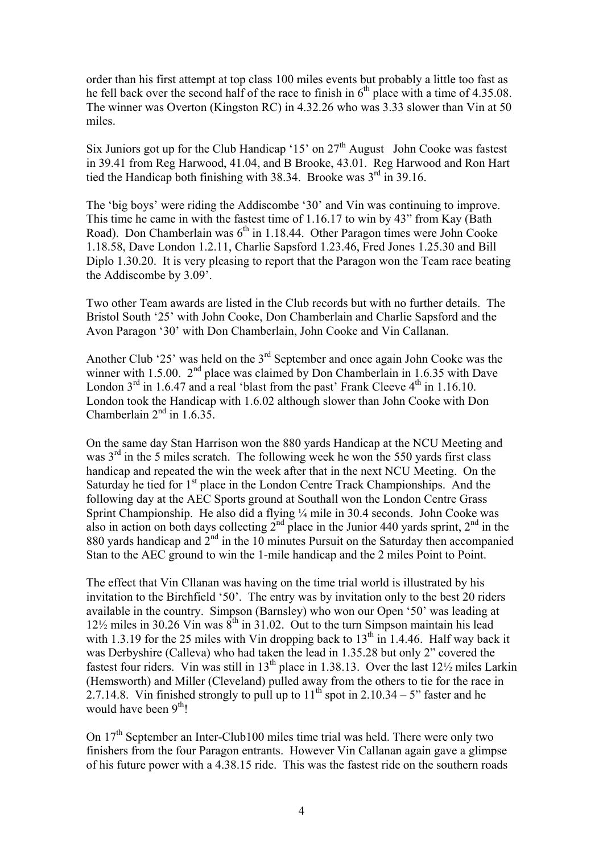order than his first attempt at top class 100 miles events but probably a little too fast as he fell back over the second half of the race to finish in  $6<sup>th</sup>$  place with a time of 4.35.08. The winner was Overton (Kingston RC) in 4.32.26 who was 3.33 slower than Vin at 50 miles.

Six Juniors got up for the Club Handicap ' $15'$  on  $27<sup>th</sup>$  August John Cooke was fastest in 39.41 from Reg Harwood, 41.04, and B Brooke, 43.01. Reg Harwood and Ron Hart tied the Handicap both finishing with  $38.34$ . Brooke was  $3<sup>rd</sup>$  in 39.16.

The 'big boys' were riding the Addiscombe '30' and Vin was continuing to improve. This time he came in with the fastest time of 1.16.17 to win by 43" from Kay (Bath Road). Don Chamberlain was  $6<sup>th</sup>$  in 1.18.44. Other Paragon times were John Cooke 1.18.58, Dave London 1.2.11, Charlie Sapsford 1.23.46, Fred Jones 1.25.30 and Bill Diplo 1.30.20. It is very pleasing to report that the Paragon won the Team race beating the Addiscombe by 3.09'.

Two other Team awards are listed in the Club records but with no further details. The Bristol South '25' with John Cooke, Don Chamberlain and Charlie Sapsford and the Avon Paragon '30' with Don Chamberlain, John Cooke and Vin Callanan.

Another Club '25' was held on the  $3<sup>rd</sup>$  September and once again John Cooke was the winner with 1.5.00.  $2<sup>nd</sup>$  place was claimed by Don Chamberlain in 1.6.35 with Dave London  $3^{rd}$  in 1.6.47 and a real 'blast from the past' Frank Cleeve  $4^{th}$  in 1.16.10. London took the Handicap with 1.6.02 although slower than John Cooke with Don Chamberlain  $2<sup>nd</sup>$  in 1.6.35.

On the same day Stan Harrison won the 880 yards Handicap at the NCU Meeting and was  $3<sup>rd</sup>$  in the 5 miles scratch. The following week he won the 550 yards first class handicap and repeated the win the week after that in the next NCU Meeting. On the Saturday he tied for  $1<sup>st</sup>$  place in the London Centre Track Championships. And the following day at the AEC Sports ground at Southall won the London Centre Grass Sprint Championship. He also did a flying  $\frac{1}{4}$  mile in 30.4 seconds. John Cooke was also in action on both days collecting  $2^{nd}$  place in the Junior 440 yards sprint,  $2^{nd}$  in the 880 yards handicap and  $2<sup>nd</sup>$  in the 10 minutes Pursuit on the Saturday then accompanied Stan to the AEC ground to win the 1-mile handicap and the 2 miles Point to Point.

The effect that Vin Cllanan was having on the time trial world is illustrated by his invitation to the Birchfield '50'. The entry was by invitation only to the best 20 riders available in the country. Simpson (Barnsley) who won our Open '50' was leading at  $12\frac{1}{2}$  miles in 30.26 Vin was  $8^{th}$  in 31.02. Out to the turn Simpson maintain his lead with 1.3.19 for the 25 miles with Vin dropping back to  $13<sup>th</sup>$  in 1.4.46. Half way back it was Derbyshire (Calleva) who had taken the lead in 1.35.28 but only 2" covered the fastest four riders. Vin was still in 13<sup>th</sup> place in 1.38.13. Over the last  $12\frac{1}{2}$  miles Larkin (Hemsworth) and Miller (Cleveland) pulled away from the others to tie for the race in 2.7.14.8. Vin finished strongly to pull up to  $11^{th}$  spot in 2.10.34 – 5" faster and he would have been 9<sup>th</sup>!

On 17<sup>th</sup> September an Inter-Club100 miles time trial was held. There were only two finishers from the four Paragon entrants. However Vin Callanan again gave a glimpse of his future power with a 4.38.15 ride. This was the fastest ride on the southern roads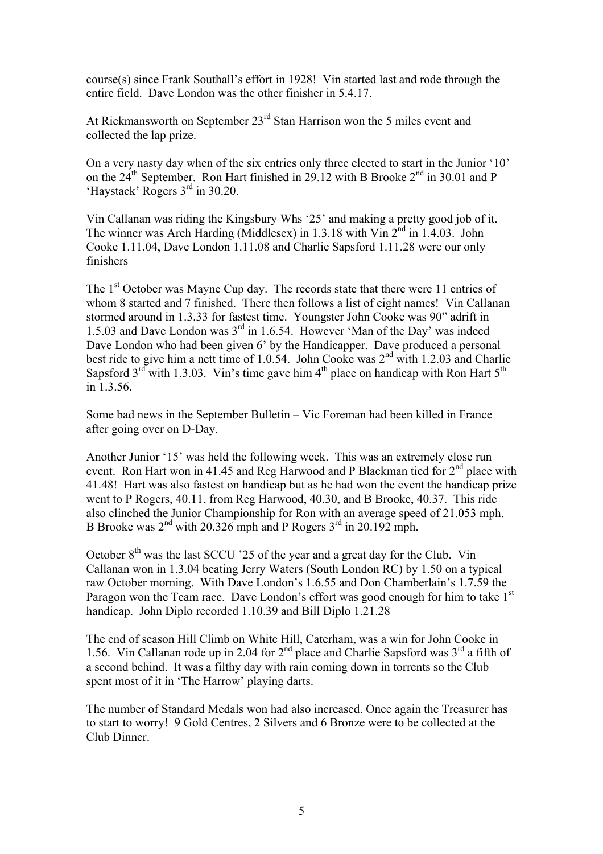course(s) since Frank Southall's effort in 1928! Vin started last and rode through the entire field. Dave London was the other finisher in 5.4.17.

At Rickmansworth on September 23<sup>rd</sup> Stan Harrison won the 5 miles event and collected the lap prize.

On a very nasty day when of the six entries only three elected to start in the Junior '10' on the 24th September. Ron Hart finished in 29.12 with B Brooke 2nd in 30.01 and P 'Haystack' Rogers 3rd in 30.20.

Vin Callanan was riding the Kingsbury Whs '25' and making a pretty good job of it. The winner was Arch Harding (Middlesex) in 1.3.18 with Vin  $2^{nd}$  in 1.4.03. John Cooke 1.11.04, Dave London 1.11.08 and Charlie Sapsford 1.11.28 were our only finishers

The 1<sup>st</sup> October was Mayne Cup day. The records state that there were 11 entries of whom 8 started and 7 finished. There then follows a list of eight names! Vin Callanan stormed around in 1.3.33 for fastest time. Youngster John Cooke was 90" adrift in 1.5.03 and Dave London was 3rd in 1.6.54. However 'Man of the Day' was indeed Dave London who had been given 6' by the Handicapper. Dave produced a personal best ride to give him a nett time of 1.0.54. John Cooke was  $2<sup>nd</sup>$  with 1.2.03 and Charlie Sapsford  $3<sup>rd</sup>$  with 1.3.03. Vin's time gave him  $4<sup>th</sup>$  place on handicap with Ron Hart  $5<sup>th</sup>$ in 1.3.56.

Some bad news in the September Bulletin – Vic Foreman had been killed in France after going over on D-Day.

Another Junior '15' was held the following week. This was an extremely close run event. Ron Hart won in 41.45 and Reg Harwood and P Blackman tied for  $2<sup>nd</sup>$  place with 41.48! Hart was also fastest on handicap but as he had won the event the handicap prize went to P Rogers, 40.11, from Reg Harwood, 40.30, and B Brooke, 40.37. This ride also clinched the Junior Championship for Ron with an average speed of 21.053 mph. B Brooke was  $2<sup>nd</sup>$  with 20.326 mph and P Rogers  $3<sup>rd</sup>$  in 20.192 mph.

October  $8<sup>th</sup>$  was the last SCCU '25 of the year and a great day for the Club. Vin Callanan won in 1.3.04 beating Jerry Waters (South London RC) by 1.50 on a typical raw October morning. With Dave London's 1.6.55 and Don Chamberlain's 1.7.59 the Paragon won the Team race. Dave London's effort was good enough for him to take 1<sup>st</sup> handicap. John Diplo recorded 1.10.39 and Bill Diplo 1.21.28

The end of season Hill Climb on White Hill, Caterham, was a win for John Cooke in 1.56. Vin Callanan rode up in 2.04 for  $2<sup>nd</sup>$  place and Charlie Sapsford was  $3<sup>rd</sup>$  a fifth of a second behind. It was a filthy day with rain coming down in torrents so the Club spent most of it in 'The Harrow' playing darts.

The number of Standard Medals won had also increased. Once again the Treasurer has to start to worry! 9 Gold Centres, 2 Silvers and 6 Bronze were to be collected at the Club Dinner.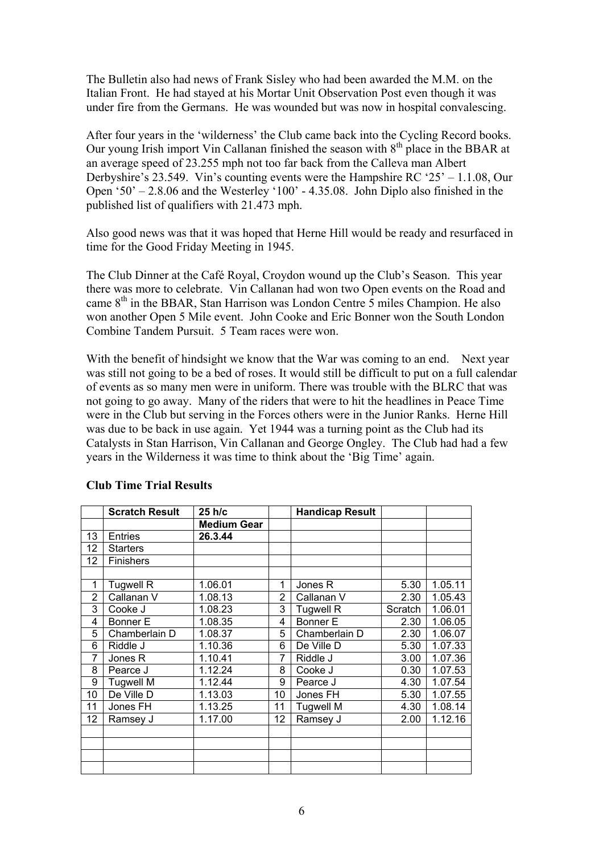The Bulletin also had news of Frank Sisley who had been awarded the M.M. on the Italian Front. He had stayed at his Mortar Unit Observation Post even though it was under fire from the Germans. He was wounded but was now in hospital convalescing.

After four years in the 'wilderness' the Club came back into the Cycling Record books. Our young Irish import Vin Callanan finished the season with  $8<sup>th</sup>$  place in the BBAR at an average speed of 23.255 mph not too far back from the Calleva man Albert Derbyshire's 23.549. Vin's counting events were the Hampshire RC '25' – 1.1.08, Our Open '50' – 2.8.06 and the Westerley '100' - 4.35.08. John Diplo also finished in the published list of qualifiers with 21.473 mph.

Also good news was that it was hoped that Herne Hill would be ready and resurfaced in time for the Good Friday Meeting in 1945.

The Club Dinner at the Café Royal, Croydon wound up the Club's Season. This year there was more to celebrate. Vin Callanan had won two Open events on the Road and came  $8<sup>th</sup>$  in the BBAR, Stan Harrison was London Centre 5 miles Champion. He also won another Open 5 Mile event. John Cooke and Eric Bonner won the South London Combine Tandem Pursuit. 5 Team races were won.

With the benefit of hindsight we know that the War was coming to an end. Next year was still not going to be a bed of roses. It would still be difficult to put on a full calendar of events as so many men were in uniform. There was trouble with the BLRC that was not going to go away. Many of the riders that were to hit the headlines in Peace Time were in the Club but serving in the Forces others were in the Junior Ranks. Herne Hill was due to be back in use again. Yet 1944 was a turning point as the Club had its Catalysts in Stan Harrison, Vin Callanan and George Ongley. The Club had had a few years in the Wilderness it was time to think about the 'Big Time' again.

|                 | <b>Scratch Result</b> | 25 h/c             |    | <b>Handicap Result</b> |         |         |
|-----------------|-----------------------|--------------------|----|------------------------|---------|---------|
|                 |                       | <b>Medium Gear</b> |    |                        |         |         |
| 13              | <b>Entries</b>        | 26.3.44            |    |                        |         |         |
| 12              | <b>Starters</b>       |                    |    |                        |         |         |
| 12 <sub>2</sub> | Finishers             |                    |    |                        |         |         |
|                 |                       |                    |    |                        |         |         |
| 1               | <b>Tugwell R</b>      | 1.06.01            | 1  | Jones <sub>R</sub>     | 5.30    | 1.05.11 |
| $\overline{c}$  | Callanan V            | 1.08.13            | 2  | Callanan V             | 2.30    | 1.05.43 |
| 3               | Cooke J               | 1.08.23            | 3  | Tugwell R              | Scratch | 1.06.01 |
| 4               | Bonner E              | 1.08.35            | 4  | Bonner E               | 2.30    | 1.06.05 |
| 5               | Chamberlain D         | 1.08.37            | 5  | Chamberlain D          | 2.30    | 1.06.07 |
| 6               | Riddle J              | 1.10.36            | 6  | De Ville D             | 5.30    | 1.07.33 |
| 7               | Jones R               | 1.10.41            | 7  | Riddle J               | 3.00    | 1.07.36 |
| 8               | Pearce J              | 1.12.24            | 8  | Cooke J                | 0.30    | 1.07.53 |
| 9               | <b>Tugwell M</b>      | 1.12.44            | 9  | Pearce J               | 4.30    | 1.07.54 |
| 10              | De Ville D            | 1.13.03            | 10 | Jones FH               | 5.30    | 1.07.55 |
| 11              | Jones FH              | 1.13.25            | 11 | <b>Tugwell M</b>       | 4.30    | 1.08.14 |
| 12              | Ramsey J              | 1.17.00            | 12 | Ramsey J               | 2.00    | 1.12.16 |
|                 |                       |                    |    |                        |         |         |
|                 |                       |                    |    |                        |         |         |
|                 |                       |                    |    |                        |         |         |
|                 |                       |                    |    |                        |         |         |

## **Club Time Trial Results**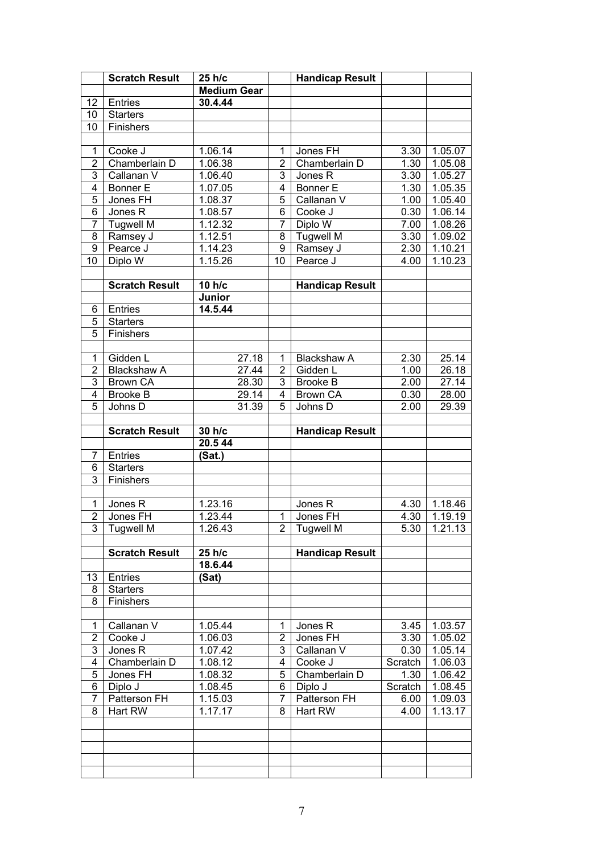|                     | <b>Scratch Result</b>                 | 25 h/c             |                                  | <b>Handicap Result</b>      |              |                  |
|---------------------|---------------------------------------|--------------------|----------------------------------|-----------------------------|--------------|------------------|
|                     |                                       | <b>Medium Gear</b> |                                  |                             |              |                  |
| 12                  | Entries                               | 30.4.44            |                                  |                             |              |                  |
| 10                  | <b>Starters</b>                       |                    |                                  |                             |              |                  |
| 10                  | Finishers                             |                    |                                  |                             |              |                  |
|                     |                                       |                    |                                  |                             |              |                  |
| $\mathbf{1}$        | Cooke J                               | 1.06.14            | 1                                | Jones FH                    | 3.30         | 1.05.07          |
| $\overline{2}$      | Chamberlain D                         | 1.06.38            | $\overline{2}$                   | Chamberlain D               | 1.30         | 1.05.08          |
| 3                   | Callanan V                            | 1.06.40            | 3                                | Jones R                     | 3.30         | 1.05.27          |
| $\overline{4}$      | <b>Bonner E</b>                       | 1.07.05            | 4                                | Bonner E                    | 1.30         | 1.05.35          |
| 5                   | Jones FH                              | 1.08.37            | 5                                | Callanan V                  | 1.00         | 1.05.40          |
| $\overline{6}$      | Jones R                               | 1.08.57            | $\overline{6}$                   | Cooke J                     | 0.30         | 1.06.14          |
| $\overline{7}$      | <b>Tugwell M</b>                      | 1.12.32            | $\overline{7}$                   | Diplo W                     | 7.00         | 1.08.26          |
| $\overline{8}$      | Ramsey J                              | 1.12.51            | 8                                | <b>Tugwell M</b>            | 3.30         | 1.09.02          |
| $\overline{9}$      | Pearce J                              | 1.14.23            | $\overline{9}$                   | Ramsey J                    | 2.30         | 1.10.21          |
| $\overline{10}$     | Diplo W                               | 1.15.26            | 10                               | Pearce J                    | 4.00         | 1.10.23          |
|                     |                                       |                    |                                  |                             |              |                  |
|                     | <b>Scratch Result</b>                 | 10 h/c             |                                  | <b>Handicap Result</b>      |              |                  |
|                     |                                       | Junior             |                                  |                             |              |                  |
| 6                   | Entries                               | 14.5.44            |                                  |                             |              |                  |
| 5                   | <b>Starters</b>                       |                    |                                  |                             |              |                  |
| $\overline{5}$      | Finishers                             |                    |                                  |                             |              |                  |
|                     |                                       |                    |                                  |                             |              |                  |
| $\mathbf{1}$        | Gidden L                              | 27.18              | $\mathbf 1$                      | <b>Blackshaw A</b>          | 2.30         | 25.14            |
| $\overline{2}$<br>3 | <b>Blackshaw A</b><br><b>Brown CA</b> | 27.44              | $\overline{2}$<br>$\overline{3}$ | Gidden L<br><b>Brooke B</b> | 1.00<br>2.00 | 26.18<br>27.14   |
| $\overline{4}$      | <b>Brooke B</b>                       | 28.30<br>29.14     | $\overline{4}$                   | <b>Brown CA</b>             | 0.30         | 28.00            |
| 5                   | Johns D                               | 31.39              | 5                                | Johns D                     | 2.00         | 29.39            |
|                     |                                       |                    |                                  |                             |              |                  |
|                     | <b>Scratch Result</b>                 | 30 h/c             |                                  | <b>Handicap Result</b>      |              |                  |
|                     |                                       | 20.544             |                                  |                             |              |                  |
| 7                   | Entries                               | (Sat.)             |                                  |                             |              |                  |
| 6                   | <b>Starters</b>                       |                    |                                  |                             |              |                  |
| $\overline{3}$      | Finishers                             |                    |                                  |                             |              |                  |
|                     |                                       |                    |                                  |                             |              |                  |
| $\mathbf{1}$        | Jones R                               | 1.23.16            |                                  | Jones R                     | 4.30         | 1.18.46          |
| $\overline{2}$      | Jones FH                              | 1.23.44            | $\mathbf{1}$                     | Jones FH                    | 4.30         | 1.19.19          |
| $\overline{3}$      | <b>Tugwell M</b>                      | 1.26.43            | $\overline{2}$                   | Tugwell M                   |              | $5.30$   1.21.13 |
|                     |                                       |                    |                                  |                             |              |                  |
|                     | <b>Scratch Result</b>                 | 25 h/c             |                                  | <b>Handicap Result</b>      |              |                  |
|                     |                                       | 18.6.44            |                                  |                             |              |                  |
| 13                  |                                       |                    |                                  |                             |              |                  |
| 8                   | Entries                               | (Sat)              |                                  |                             |              |                  |
|                     | <b>Starters</b>                       |                    |                                  |                             |              |                  |
| 8                   | Finishers                             |                    |                                  |                             |              |                  |
|                     |                                       |                    |                                  |                             |              |                  |
| $\mathbf 1$         | Callanan V                            | 1.05.44            | 1                                | Jones R                     | 3.45         | 1.03.57          |
| $\overline{c}$      | Cooke J                               | 1.06.03            | $\overline{2}$                   | Jones FH                    | 3.30         | 1.05.02          |
| 3                   | Jones R                               | 1.07.42            | 3                                | Callanan V                  | 0.30         | 1.05.14          |
| $\overline{4}$      | Chamberlain D                         | 1.08.12            | 4                                | Cooke J                     | Scratch      | 1.06.03          |
| 5                   | Jones FH                              | 1.08.32            | 5                                | Chamberlain D               | 1.30         | 1.06.42          |
| 6                   | Diplo J                               | 1.08.45            | 6                                | Diplo J                     | Scratch      | 1.08.45          |
| $\overline{7}$<br>8 | Patterson FH<br>Hart RW               | 1.15.03            | 7<br>8                           | Patterson FH<br>Hart RW     | 6.00<br>4.00 | 1.09.03          |
|                     |                                       | 1.17.17            |                                  |                             |              | 1.13.17          |
|                     |                                       |                    |                                  |                             |              |                  |
|                     |                                       |                    |                                  |                             |              |                  |
|                     |                                       |                    |                                  |                             |              |                  |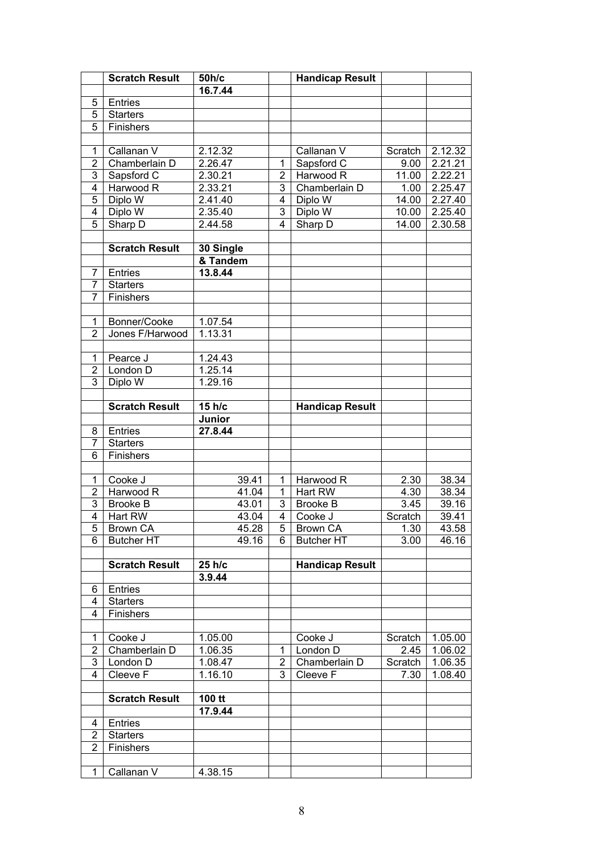|                | <b>Scratch Result</b> | 50h/c     |                | <b>Handicap Result</b> |         |         |
|----------------|-----------------------|-----------|----------------|------------------------|---------|---------|
|                |                       | 16.7.44   |                |                        |         |         |
| 5              | Entries               |           |                |                        |         |         |
| $\overline{5}$ | <b>Starters</b>       |           |                |                        |         |         |
| $\overline{5}$ | Finishers             |           |                |                        |         |         |
|                |                       |           |                |                        |         |         |
| $\mathbf 1$    | Callanan V            | 2.12.32   |                | Callanan V             | Scratch | 2.12.32 |
| $\overline{2}$ | Chamberlain D         | 2.26.47   | 1              | Sapsford C             | 9.00    | 2.21.21 |
| 3              | Sapsford C            | 2.30.21   | $\overline{2}$ | Harwood R              | 11.00   | 2.22.21 |
| 4              | Harwood R             | 2.33.21   | 3              | Chamberlain D          | 1.00    | 2.25.47 |
| $\overline{5}$ | Diplo W               | 2.41.40   | 4              | Diplo W                | 14.00   | 2.27.40 |
| 4              | Diplo W               | 2.35.40   | $\overline{3}$ | Diplo W                | 10.00   | 2.25.40 |
| $\overline{5}$ | Sharp D               | 2.44.58   | 4              | Sharp D                | 14.00   | 2.30.58 |
|                |                       |           |                |                        |         |         |
|                | <b>Scratch Result</b> | 30 Single |                |                        |         |         |
|                |                       | & Tandem  |                |                        |         |         |
| $\overline{7}$ | Entries               | 13.8.44   |                |                        |         |         |
| $\overline{7}$ | <b>Starters</b>       |           |                |                        |         |         |
| $\overline{7}$ | Finishers             |           |                |                        |         |         |
|                |                       |           |                |                        |         |         |
| $\mathbf{1}$   | Bonner/Cooke          | 1.07.54   |                |                        |         |         |
| $\overline{2}$ | Jones F/Harwood       | 1.13.31   |                |                        |         |         |
|                |                       |           |                |                        |         |         |
| $\mathbf{1}$   | Pearce J              | 1.24.43   |                |                        |         |         |
| $\overline{2}$ | London D              | 1.25.14   |                |                        |         |         |
| $\overline{3}$ | Diplo W               | 1.29.16   |                |                        |         |         |
|                | <b>Scratch Result</b> | 15 h/c    |                | <b>Handicap Result</b> |         |         |
|                |                       | Junior    |                |                        |         |         |
| 8              | Entries               | 27.8.44   |                |                        |         |         |
| $\overline{7}$ | <b>Starters</b>       |           |                |                        |         |         |
| 6              | Finishers             |           |                |                        |         |         |
|                |                       |           |                |                        |         |         |
| 1              | Cooke J               | 39.41     | 1              | Harwood R              | 2.30    | 38.34   |
| $\overline{2}$ | Harwood R             | 41.04     | $\mathbf{1}$   | Hart RW                | 4.30    | 38.34   |
| 3              | <b>Brooke B</b>       | 43.01     | 3              | <b>Brooke B</b>        | 3.45    | 39.16   |
| $\overline{4}$ | Hart RW               | 43.04     | 4              | Cooke J                | Scratch | 39.41   |
| $\overline{5}$ | <b>Brown CA</b>       | 45.28     | $\overline{5}$ | <b>Brown CA</b>        | 1.30    | 43.58   |
| 6              | <b>Butcher HT</b>     | 49.16     | 6              | <b>Butcher HT</b>      | 3.00    | 46.16   |
|                |                       |           |                |                        |         |         |
|                | <b>Scratch Result</b> | 25 h/c    |                | <b>Handicap Result</b> |         |         |
|                |                       | 3.9.44    |                |                        |         |         |
| 6              | Entries               |           |                |                        |         |         |
| 4              | <b>Starters</b>       |           |                |                        |         |         |
| 4              | Finishers             |           |                |                        |         |         |
|                |                       |           |                |                        |         |         |
| 1              | Cooke J               | 1.05.00   |                | Cooke J                | Scratch | 1.05.00 |
| $\overline{2}$ | Chamberlain D         | 1.06.35   | 1              | London D               | 2.45    | 1.06.02 |
| 3              | London D              | 1.08.47   | 2              | Chamberlain D          | Scratch | 1.06.35 |
| 4              | Cleeve F              | 1.16.10   | 3              | Cleeve F               | 7.30    | 1.08.40 |
|                | <b>Scratch Result</b> | 100 tt    |                |                        |         |         |
|                |                       | 17.9.44   |                |                        |         |         |
| 4              | Entries               |           |                |                        |         |         |
| 2              | <b>Starters</b>       |           |                |                        |         |         |
| $\overline{2}$ | Finishers             |           |                |                        |         |         |
|                |                       |           |                |                        |         |         |
| 1              | Callanan V            | 4.38.15   |                |                        |         |         |